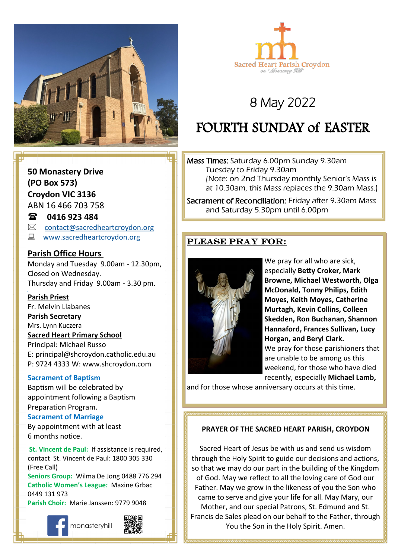



# 8 May 2022

# FOURTH SUNDAY of EASTER

Mass Times: Saturday 6.00pm Sunday 9.30am Tuesday to Friday 9.30am (Note: on 2nd Thursday monthly Senior's Mass is at 10.30am, this Mass replaces the 9.30am Mass.)

Sacrament of Reconciliation: Friday after 9.30am Mass and Saturday 5.30pm until 6.00pm

### Please pray for:



We pray for all who are sick, especially **Betty Croker, Mark Browne, Michael Westworth, Olga McDonald, Tonny Philips, Edith Moyes, Keith Moyes, Catherine Murtagh, Kevin Collins, Colleen Skedden, Ron Buchanan, Shannon Hannaford, Frances Sullivan, Lucy Horgan, and Beryl Clark.** We pray for those parishioners that are unable to be among us this weekend, for those who have died recently, especially **Michael Lamb,** 

and for those whose anniversary occurs at this time.

#### **PRAYER OF THE SACRED HEART PARISH, CROYDON**

Sacred Heart of Jesus be with us and send us wisdom through the Holy Spirit to guide our decisions and actions, so that we may do our part in the building of the Kingdom of God. May we reflect to all the loving care of God our Father. May we grow in the likeness of you the Son who came to serve and give your life for all. May Mary, our Mother, and our special Patrons, St. Edmund and St. Francis de Sales plead on our behalf to the Father, through You the Son in the Holy Spirit. Amen.

**50 Monastery Drive (PO Box 573) Croydon VIC 3136** ABN 16 466 703 758

## **0416 923 484**

- $\boxtimes$  [contact@sacredheartcroydon.org](mailto:contact@sacredheartcroydon.org)
- **E** [www.sacredheartcroydon.org](http://www.sacredheartcroydon.org/)

### **Parish Office Hours**

Monday and Tuesday 9.00am - 12.30pm, Closed on Wednesday. Thursday and Friday 9.00am - 3.30 pm.

#### **Parish Priest**

Fr. Melvin Llabanes

#### **Parish Secretary**

Mrs. Lynn Kuczera

#### **Sacred Heart Primary School**

Principal: Michael Russo E: principal@shcroydon.catholic.edu.au P: 9724 4333 W: www.shcroydon.com

#### **Sacrament of Baptism**

Baptism will be celebrated by appointment following a Baptism Preparation Program.

#### **Sacrament of Marriage**

By appointment with at least 6 months notice.

 **St. Vincent de Paul:** If assistance is required, contact St. Vincent de Paul: 1800 305 330 (Free Call)

**Seniors Group:** Wilma De Jong 0488 776 294 **Catholic Women's League:** Maxine Grbac 0449 131 973 **Parish Choir:** Marie Janssen: 9779 9048